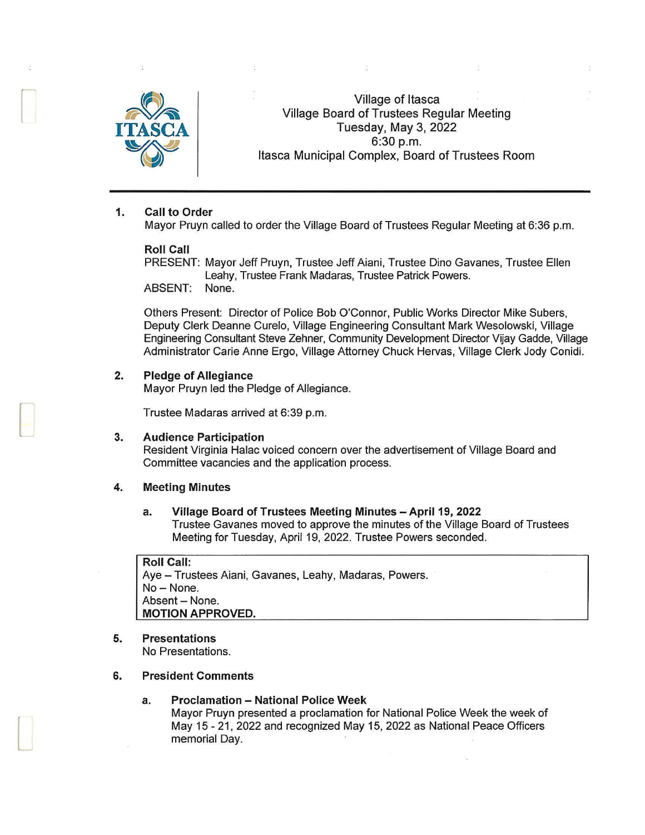

Village of Itasca Village Board of Trustees Regular Meeting Tuesday, May3,2022 6:30 p.m. Itasca Municipal Complex, Board of Trustees Room

## 1. Call to Order

Mayor Pruyn called to order the Village Board of Trustees Regular Meeting at 6:36 p.m.

### Roll Call

PRESENT: Mayor Jeff Pruyn, Trustee Jeff Aiani, Trustee Dino Gavanes, Trustee Ellen Leahy, Trustee Frank Madaras, Trustee Patrick Powers. ABSENT: None.

Others Present: Director of Police Bob O'Connor, Public Works Director Mike Subers, Deputy Clerk Deanne Curelo, Village Engineering Consultant Mark Wesolowski, Village Engineering Consultant Steve Zehner, Community Development Director Vijay Gadde, Village Administrator Carie Anne Ergo, Village Attorney Chuck Hervas, Village Clerk Jody Conidi.

#### 2. Pledge of Allegiance

Mayor Pruyn led the Pledge of Allegiance.

Trustee Madaras arrived at 6:39 p.m.

## 3. Audience Participation

Resident Virginia Halac voiced concern over the advertisement of Village Board and Committee vacancies and the application process.

### 4. Meeting Minutes

#### a. Village Board of Trustees Meeting Minutes - April 19, 2022 Trustee Gavanes moved to approve the minutes of the Village Board of Trustees Meeting for Tuesday, April 19, 2022. Trustee Powers seconded.

#### Roll Call:

Aye - Trustees Aiani, Gavanes, Leahy, Madaras, Powers. No-None. Absent - None. MOTION APPROVED.

5. Presentations No Presentations.

 $\Box$ 

- 6. President Comments
	- a. Proclamation National Police Week Mayor Pruyn presented a proclamation for National Police Week the week of May 15 - 21, 2022 and recognized May 15, 2022 as National Peace Officers memorial Day.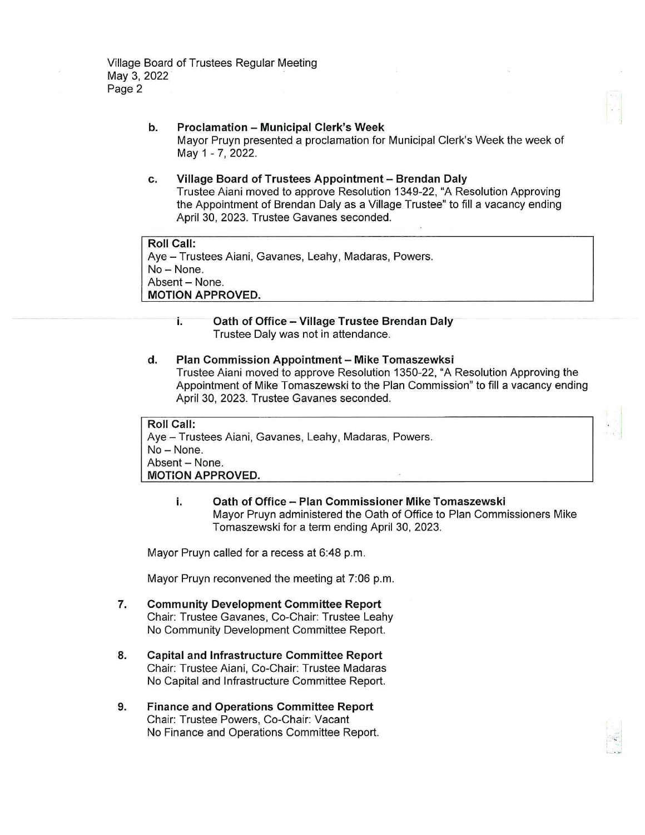### b. Proclamation - Municipal Clerk's Week Mayor Pruyn presented a proclamation for Municipal Clerk's Week the week of May 1 - 7, 2022.

c. Village Board of Trustees Appointment - Brendan Daly Trustee Aiani moved to approve Resolution 1349-22, "A Resolution Approving the Appointment of Brendan Daly as a Village Trustee" to fill a vacancy ending April 30, 2023. Trustee Gavanes seconded.

Roll Call: Aye- Trustees Aiani, Gavanes, Leahy, Madaras, Powers. No- None. Absent - None. MOTION APPROVED.

# i. Oath of Office - Village Trustee Brendan Daly Trustee Daly was not in attendance.

# d. Plan Commission Appointment - Mike Tomaszewksi

Trustee Aiani moved to approve Resolution 1350-22, "A Resolution Approving the Appointment of Mike Tomaszewski to the Plan Commission" to fill a vacancy ending April 30, 2023. Trustee Gavanes seconded.

Roll Call:

Aye - Trustees Aiani, Gavanes, Leahy, Madaras, Powers. No-None. Absent - None. MOTiON APPROVED.

> i. Oath of Office - Plan Commissioner Mike Tomaszewski Mayor Pruyn administered the Oath of Office to Plan Commissioners Mike Tomaszewski for a term ending April 30, 2023.

Mayor Pruyn called for a recess at 6:48 p.m.

Mayor Pruyn reconvened the meeting at 7:06 p.m.

- 7. Community Development Committee Report Chair: Trustee Gavanes, Co-Chair: Trustee Leahy No Community Development Committee Report.
- 8. Capital and Infrastructure Committee Report Chair: Trustee Aiani, Co-Chair: Trustee Madaras No Capital and Infrastructure Committee Report.
- 9. Finance and Operations Committee Report Chair: Trustee Powers, Co-Chair: Vacant No Finance and Operations Committee Report.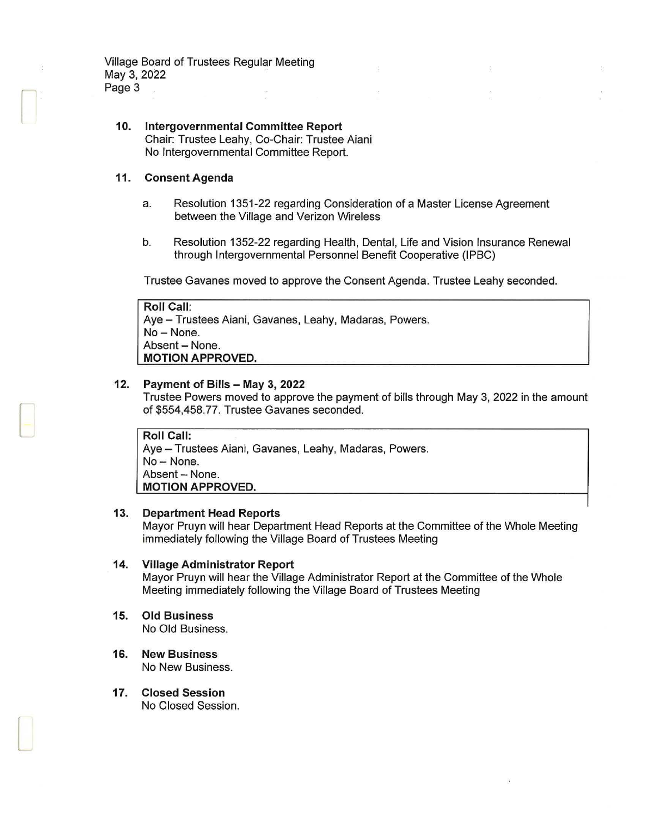Village Board of Trustees Regular Meeting May 3, 2022 Page 3

### **10. Intergovernmental Committee Report**  Chair: Trustee Leahy, Co-Chair: Trustee Aiani No Intergovernmental Committee Report.

### **11. Consent Agenda**

 $\begin{bmatrix} \phantom{-} \end{bmatrix}$ 

[-

L

- a. Resolution 1351-22 regarding Consideration of a Master License Agreement between the Village and Verizon Wireless
- b. Resolution 1352-22 regarding Health, Dental, Life and Vision Insurance Renewal through Intergovernmental Personnel Benefit Cooperative (IPBC)

Trustee Gavanes moved to approve the Consent Agenda. Trustee Leahy seconded.

| <b>Roll Call:</b>                                      |  |
|--------------------------------------------------------|--|
| Aye - Trustees Aiani, Gavanes, Leahy, Madaras, Powers. |  |
| $\vert$ No – None.                                     |  |
| Absent - None.                                         |  |
| <b>MOTION APPROVED.</b>                                |  |

# **12. Payment of Bills - May 3, 2022**

Trustee Powers moved to approve the payment of bills through May 3, 2022 in the amount of \$554,458.77. Trustee Gavanes seconded.

**Roll Call:**  Aye - Trustees Aiani, Gavanes, Leahy, Madaras, Powers. No-None. Absent - None. **MOTION APPROVED.** 

### **13. Department Head Reports**

Mayor Pruyn will hear Department Head Reports at the Committee of the Whole Meeting immediately following the Village Board of Trustees Meeting

### **14. Village Administrator Report**

Mayor Pruyn will hear the Village Administrator Report at the Committee of the Whole Meeting immediately following the Village Board of Trustees Meeting

**15. Old Business** 

No Old Business.

- **16. New Business**  No New Business.
- **17. Closed Session**  No Closed Session.